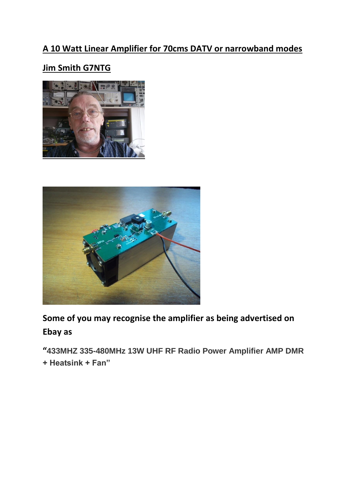## **A 10 Watt Linear Amplifier for 70cms DATV or narrowband modes**

## **Jim Smith G7NTG**





**Some of you may recognise the amplifier as being advertised on Ebay as** 

**"433MHZ 335-480MHz 13W UHF RF Radio Power Amplifier AMP DMR** 

**+ Heatsink + Fan"**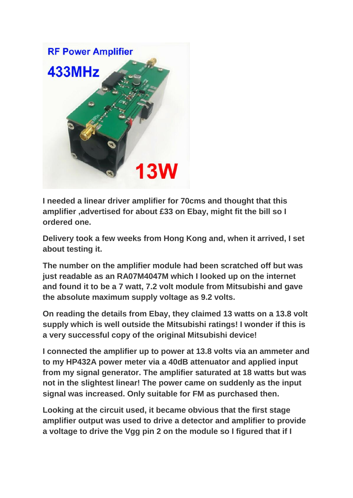

**I needed a linear driver amplifier for 70cms and thought that this amplifier ,advertised for about £33 on Ebay, might fit the bill so I ordered one.**

**Delivery took a few weeks from Hong Kong and, when it arrived, I set about testing it.**

**The number on the amplifier module had been scratched off but was just readable as an RA07M4047M which I looked up on the internet and found it to be a 7 watt, 7.2 volt module from Mitsubishi and gave the absolute maximum supply voltage as 9.2 volts.**

**On reading the details from Ebay, they claimed 13 watts on a 13.8 volt supply which is well outside the Mitsubishi ratings! I wonder if this is a very successful copy of the original Mitsubishi device!**

**I connected the amplifier up to power at 13.8 volts via an ammeter and to my HP432A power meter via a 40dB attenuator and applied input from my signal generator. The amplifier saturated at 18 watts but was not in the slightest linear! The power came on suddenly as the input signal was increased. Only suitable for FM as purchased then.**

**Looking at the circuit used, it became obvious that the first stage amplifier output was used to drive a detector and amplifier to provide a voltage to drive the Vgg pin 2 on the module so I figured that if I**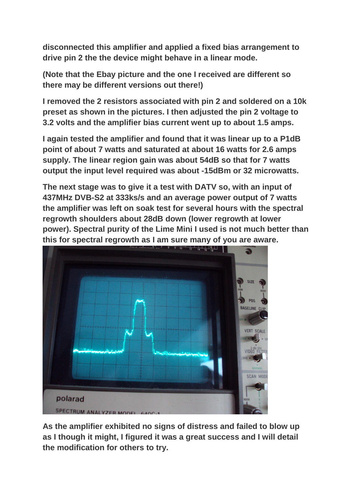**disconnected this amplifier and applied a fixed bias arrangement to drive pin 2 the the device might behave in a linear mode.**

**(Note that the Ebay picture and the one I received are different so there may be different versions out there!)**

**I removed the 2 resistors associated with pin 2 and soldered on a 10k preset as shown in the pictures. I then adjusted the pin 2 voltage to 3.2 volts and the amplifier bias current went up to about 1.5 amps.**

**I again tested the amplifier and found that it was linear up to a P1dB point of about 7 watts and saturated at about 16 watts for 2.6 amps supply. The linear region gain was about 54dB so that for 7 watts output the input level required was about -15dBm or 32 microwatts.**

**The next stage was to give it a test with DATV so, with an input of 437MHz DVB-S2 at 333ks/s and an average power output of 7 watts the amplifier was left on soak test for several hours with the spectral regrowth shoulders about 28dB down (lower regrowth at lower power). Spectral purity of the Lime Mini I used is not much better than this for spectral regrowth as I am sure many of you are aware.**



**As the amplifier exhibited no signs of distress and failed to blow up as I though it might, I figured it was a great success and I will detail the modification for others to try.**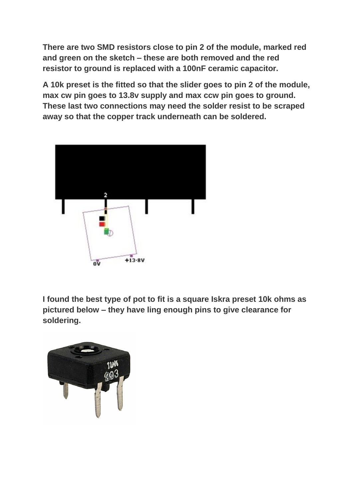**There are two SMD resistors close to pin 2 of the module, marked red and green on the sketch – these are both removed and the red resistor to ground is replaced with a 100nF ceramic capacitor.**

**A 10k preset is the fitted so that the slider goes to pin 2 of the module, max cw pin goes to 13.8v supply and max ccw pin goes to ground. These last two connections may need the solder resist to be scraped away so that the copper track underneath can be soldered.**



**I found the best type of pot to fit is a square Iskra preset 10k ohms as pictured below – they have ling enough pins to give clearance for soldering.**